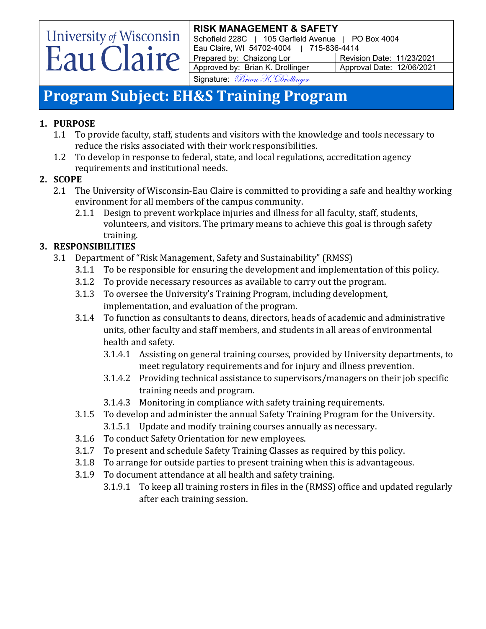Schofield 228C | 105 Garfield Avenue | PO Box 4004 Eau Claire, WI 54702-4004 | 715-836-4414

Prepared by: Chaizong Lor Revision Date: 11/23/2021 Approved by: Brian K. Drollinger | Approval Date: 12/06/2021

Signature: Brian K. Drollinger

# **Program Subject: EH&S Training Program**

# **1. PURPOSE**

University of Wisconsin<br>Eau Claire

- 1.1 To provide faculty, staff, students and visitors with the knowledge and tools necessary to reduce the risks associated with their work responsibilities.
- 1.2 To develop in response to federal, state, and local regulations, accreditation agency requirements and institutional needs.

# **2. SCOPE**

- 2.1 The University of Wisconsin-Eau Claire is committed to providing a safe and healthy working environment for all members of the campus community.
	- 2.1.1 Design to prevent workplace injuries and illness for all faculty, staff, students, volunteers, and visitors. The primary means to achieve this goal is through safety training.

# **3. RESPONSIBILITIES**

- 3.1 Department of "Risk Management, Safety and Sustainability" (RMSS)
	- 3.1.1 To be responsible for ensuring the development and implementation of this policy.<br>3.1.2 To provide necessary resources as available to carry out the program.
	- 3.1.2 To provide necessary resources as available to carry out the program.
	- 3.1.3 To oversee the University's Training Program, including development, implementation, and evaluation of the program.
	- 3.1.4 To function as consultants to deans, directors, heads of academic and administrative units, other faculty and staff members, and students in all areas of environmental health and safety.
		- 3.1.4.1 Assisting on general training courses, provided by University departments, to meet regulatory requirements and for injury and illness prevention.
		- 3.1.4.2 Providing technical assistance to supervisors/managers on their job specific training needs and program.
		- 3.1.4.3 Monitoring in compliance with safety training requirements.
	- 3.1.5 To develop and administer the annual Safety Training Program for the University.
		- 3.1.5.1 Update and modify training courses annually as necessary.
	- 3.1.6 To conduct Safety Orientation for new employees.
	- 3.1.7 To present and schedule Safety Training Classes as required by this policy.
	- 3.1.8 To arrange for outside parties to present training when this is advantageous.<br>3.1.9 To document attendance at all health and safety training.
	- To document attendance at all health and safety training.
		- 3.1.9.1 To keep all training rosters in files in the (RMSS) office and updated regularly after each training session.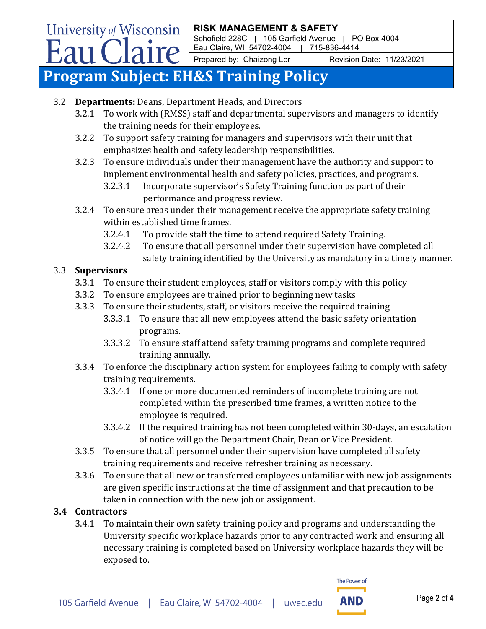Schofield 228C | 105 Garfield Avenue | PO Box 4004 Eau Claire, WI 54702-4004 | 715-836-4414

Prepared by: Chaizong Lor Revision Date: 11/23/2021

# **Program Subject: EH&S Training Policy**

- 3.2 **Departments:** Deans, Department Heads, and Directors
	- 3.2.1 To work with (RMSS) staff and departmental supervisors and managers to identify the training needs for their employees.
	- 3.2.2 To support safety training for managers and supervisors with their unit that emphasizes health and safety leadership responsibilities.
	- 3.2.3 To ensure individuals under their management have the authority and support to implement environmental health and safety policies, practices, and programs.
		- 3.2.3.1 Incorporate supervisor's Safety Training function as part of their performance and progress review.
	- 3.2.4 To ensure areas under their management receive the appropriate safety training within established time frames.
		- 3.2.4.1 To provide staff the time to attend required Safety Training.<br>3.2.4.2 To ensure that all personnel under their supervision have co
		- 3.2.4.2 To ensure that all personnel under their supervision have completed all safety training identified by the University as mandatory in a timely manner.

### 3.3 **Supervisors**

**University of Wisconsin** 

Eau Claire

- 3.3.1 To ensure their student employees, staff or visitors comply with this policy
- 3.3.2 To ensure employees are trained prior to beginning new tasks<br>3.3.3 To ensure their students, staff, or visitors receive the required
- 3.3.3 To ensure their students, staff, or visitors receive the required training
	- 3.3.3.1 To ensure that all new employees attend the basic safety orientation programs.
	- 3.3.3.2 To ensure staff attend safety training programs and complete required training annually.
- 3.3.4 To enforce the disciplinary action system for employees failing to comply with safety training requirements.
	- 3.3.4.1 If one or more documented reminders of incomplete training are not completed within the prescribed time frames, a written notice to the employee is required.
	- 3.3.4.2 If the required training has not been completed within 30-days, an escalation of notice will go the Department Chair, Dean or Vice President.
- 3.3.5 To ensure that all personnel under their supervision have completed all safety training requirements and receive refresher training as necessary.
- 3.3.6 To ensure that all new or transferred employees unfamiliar with new job assignments are given specific instructions at the time of assignment and that precaution to be taken in connection with the new job or assignment.

# **3.4 Contractors**

3.4.1 To maintain their own safety training policy and programs and understanding the University specific workplace hazards prior to any contracted work and ensuring all necessary training is completed based on University workplace hazards they will be exposed to.

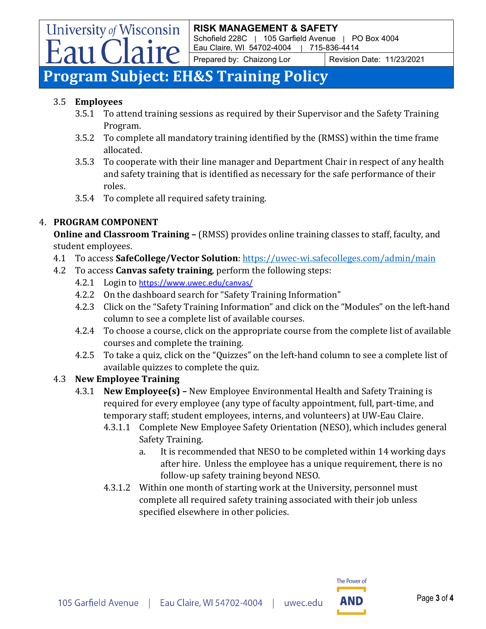Schofield 228C | 105 Garfield Avenue | PO Box 4004 Eau Claire, WI 54702-4004 | 715-836-4414

Prepared by: Chaizong Lor Revision Date: 11/23/2021

# **Program Subject: EH&S Training Policy**

aire

### 3.5 **Employees**

**University of Wisconsin** 

- 3.5.1 To attend training sessions as required by their Supervisor and the Safety Training Program.
- 3.5.2 To complete all mandatory training identified by the (RMSS) within the time frame allocated.
- 3.5.3 To cooperate with their line manager and Department Chair in respect of any health and safety training that is identified as necessary for the safe performance of their roles.
- 3.5.4 To complete all required safety training.

# 4. **PROGRAM COMPONENT**

**Online and Classroom Training –** (RMSS) provides online training classes to staff, faculty, and student employees.

- 4.1 To access **SafeCollege/Vector Solution**:<https://uwec-wi.safecolleges.com/admin/main>
- 4.2 To access **Canvas safety training**, perform the following steps:
	- 4.2.1 Login to <https://www.uwec.edu/canvas/>
	- 4.2.2 On the dashboard search for "Safety Training Information"<br>4.2.3 Click on the "Safety Training Information" and click on the '
	- 4.2.3 Click on the "Safety Training Information" and click on the "Modules" on the left-hand column to see a complete list of available courses.
	- 4.2.4 To choose a course, click on the appropriate course from the complete list of available courses and complete the training.
	- 4.2.5 To take a quiz, click on the "Quizzes" on the left-hand column to see a complete list of available quizzes to complete the quiz.

# 4.3 **New Employee Training**

- 4.3.1 **New Employee(s) –** New Employee Environmental Health and Safety Training is required for every employee (any type of faculty appointment, full, part-time, and temporary staff; student employees, interns, and volunteers) at UW-Eau Claire.
	- 4.3.1.1 Complete New Employee Safety Orientation (NESO), which includes general Safety Training.
		- a. It is recommended that NESO to be completed within 14 working days after hire. Unless the employee has a unique requirement, there is no follow-up safety training beyond NESO.
	- 4.3.1.2 Within one month of starting work at the University, personnel must complete all required safety training associated with their job unless specified elsewhere in other policies.